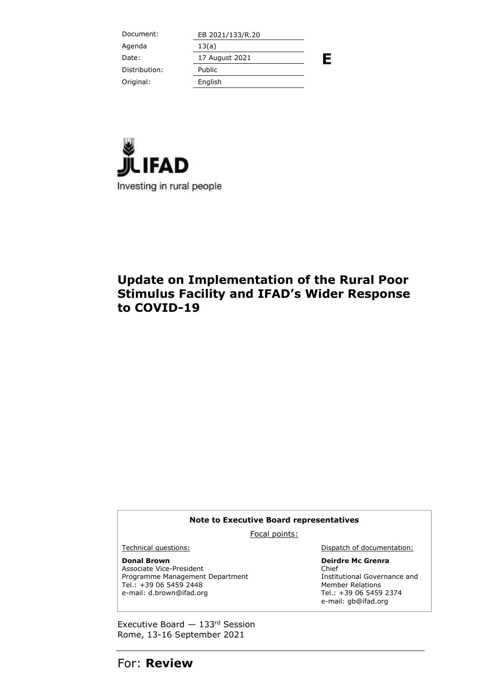| Document:     | EB 2021/133/R.20 |   |
|---------------|------------------|---|
| Agenda        | 13(a)            |   |
| Date:         | 17 August 2021   | Ε |
| Distribution: | Public           |   |
| Original:     | English          |   |
|               |                  |   |



## **Update on Implementation of the Rural Poor Stimulus Facility and IFAD's Wider Response to COVID-19**

#### **Note to Executive Board representatives**

Focal points:

**Donal Brown**

Associate Vice-President Programme Management Department Tel.: +39 06 5459 2448 e-mail: d.brown@ifad.org

Technical questions: **Dispatch of documentation:** 

**Deirdre Mc Grenra** Chief Institutional Governance and Member Relations Tel.: +39 06 5459 2374 e-mail: gb@ifad.org

Executive Board — 133rd Session Rome, 13-16 September 2021

For: **Review**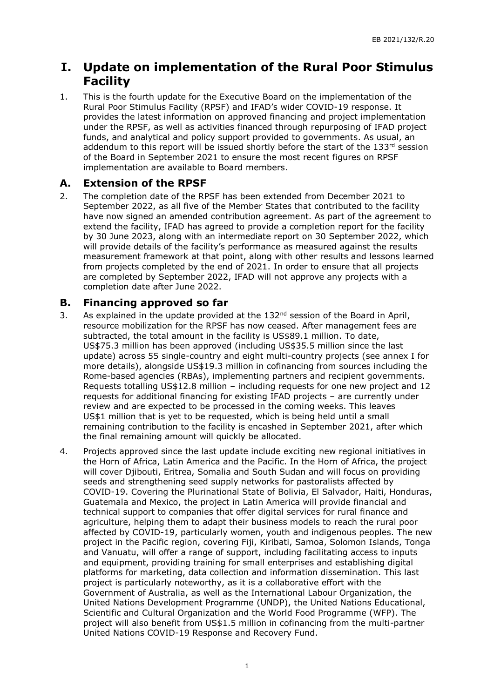## **I. Update on implementation of the Rural Poor Stimulus Facility**

1. This is the fourth update for the Executive Board on the implementation of the Rural Poor Stimulus Facility (RPSF) and IFAD's wider COVID-19 response. It provides the latest information on approved financing and project implementation under the RPSF, as well as activities financed through repurposing of IFAD project funds, and analytical and policy support provided to governments. As usual, an addendum to this report will be issued shortly before the start of the 133<sup>rd</sup> session of the Board in September 2021 to ensure the most recent figures on RPSF implementation are available to Board members.

## **A. Extension of the RPSF**

2. The completion date of the RPSF has been extended from December 2021 to September 2022, as all five of the Member States that contributed to the facility have now signed an amended contribution agreement. As part of the agreement to extend the facility, IFAD has agreed to provide a completion report for the facility by 30 June 2023, along with an intermediate report on 30 September 2022, which will provide details of the facility's performance as measured against the results measurement framework at that point, along with other results and lessons learned from projects completed by the end of 2021. In order to ensure that all projects are completed by September 2022, IFAD will not approve any projects with a completion date after June 2022.

### **B. Financing approved so far**

- 3. As explained in the update provided at the  $132<sup>nd</sup>$  session of the Board in April, resource mobilization for the RPSF has now ceased. After management fees are subtracted, the total amount in the facility is US\$89.1 million. To date, US\$75.3 million has been approved (including US\$35.5 million since the last update) across 55 single-country and eight multi-country projects (see annex I for more details), alongside US\$19.3 million in cofinancing from sources including the Rome-based agencies (RBAs), implementing partners and recipient governments. Requests totalling US\$12.8 million – including requests for one new project and 12 requests for additional financing for existing IFAD projects – are currently under review and are expected to be processed in the coming weeks. This leaves US\$1 million that is yet to be requested, which is being held until a small remaining contribution to the facility is encashed in September 2021, after which the final remaining amount will quickly be allocated.
- 4. Projects approved since the last update include exciting new regional initiatives in the Horn of Africa, Latin America and the Pacific. In the Horn of Africa, the project will cover Djibouti, Eritrea, Somalia and South Sudan and will focus on providing seeds and strengthening seed supply networks for pastoralists affected by COVID-19. Covering the Plurinational State of Bolivia, El Salvador, Haiti, Honduras, Guatemala and Mexico, the project in Latin America will provide financial and technical support to companies that offer digital services for rural finance and agriculture, helping them to adapt their business models to reach the rural poor affected by COVID-19, particularly women, youth and indigenous peoples. The new project in the Pacific region, covering Fiji, Kiribati, Samoa, Solomon Islands, Tonga and Vanuatu, will offer a range of support, including facilitating access to inputs and equipment, providing training for small enterprises and establishing digital platforms for marketing, data collection and information dissemination. This last project is particularly noteworthy, as it is a collaborative effort with the Government of Australia, as well as the International Labour Organization, the United Nations Development Programme (UNDP), the United Nations Educational, Scientific and Cultural Organization and the World Food Programme (WFP). The project will also benefit from US\$1.5 million in cofinancing from the multi-partner United Nations COVID-19 Response and Recovery Fund.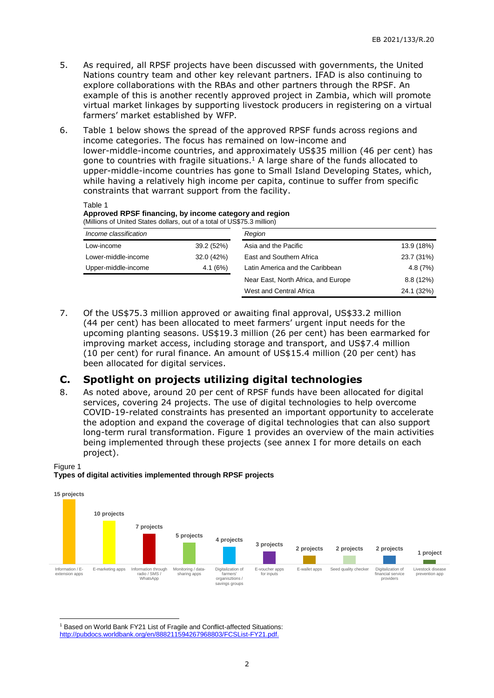- 5. As required, all RPSF projects have been discussed with governments, the United Nations country team and other key relevant partners. IFAD is also continuing to explore collaborations with the RBAs and other partners through the RPSF. An example of this is another recently approved project in Zambia, which will promote virtual market linkages by supporting livestock producers in registering on a virtual farmers' market established by WFP.
- 6. Table 1 below shows the spread of the approved RPSF funds across regions and income categories. The focus has remained on low-income and lower-middle-income countries, and approximately US\$35 million (46 per cent) has gone to countries with fragile situations.<sup>1</sup> A large share of the funds allocated to upper-middle-income countries has gone to Small Island Developing States, which, while having a relatively high income per capita, continue to suffer from specific constraints that warrant support from the facility.

Table 1 **Approved RPSF financing, by income category and region** (Millions of United States dollars, out of a total of US\$75.3 million)

| Income classification |            | Region                              |            |
|-----------------------|------------|-------------------------------------|------------|
| Low-income            | 39.2 (52%) | Asia and the Pacific                | 13.9 (18%) |
| Lower-middle-income   | 32.0 (42%) | East and Southern Africa            | 23.7 (31%) |
| Upper-middle-income   | 4.1(6%)    | Latin America and the Caribbean     | 4.8(7%)    |
|                       |            | Near East, North Africa, and Europe | 8.8(12%)   |
|                       |            | West and Central Africa             | 24.1 (32%) |

7. Of the US\$75.3 million approved or awaiting final approval, US\$33.2 million (44 per cent) has been allocated to meet farmers' urgent input needs for the upcoming planting seasons. US\$19.3 million (26 per cent) has been earmarked for improving market access, including storage and transport, and US\$7.4 million (10 per cent) for rural finance. An amount of US\$15.4 million (20 per cent) has been allocated for digital services.

### **C. Spotlight on projects utilizing digital technologies**

8. As noted above, around 20 per cent of RPSF funds have been allocated for digital services, covering 24 projects. The use of digital technologies to help overcome COVID-19-related constraints has presented an important opportunity to accelerate the adoption and expand the coverage of digital technologies that can also support long-term rural transformation. Figure 1 provides an overview of the main activities being implemented through these projects (see annex I for more details on each project).

#### Figure 1

#### **Types of digital activities implemented through RPSF projects**



-<sup>1</sup> Based on World Bank FY21 List of Fragile and Conflict-affected Situations: [http://pubdocs.worldbank.org/en/888211594267968803/FCSList-FY21.pdf.](http://pubdocs.worldbank.org/en/888211594267968803/FCSList-FY21.pdf)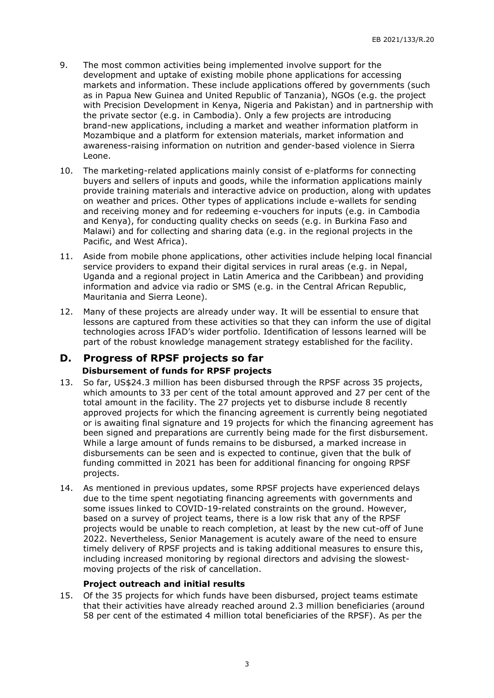- 9. The most common activities being implemented involve support for the development and uptake of existing mobile phone applications for accessing markets and information. These include applications offered by governments (such as in Papua New Guinea and United Republic of Tanzania), NGOs (e.g. the project with Precision Development in Kenya, Nigeria and Pakistan) and in partnership with the private sector (e.g. in Cambodia). Only a few projects are introducing brand-new applications, including a market and weather information platform in Mozambique and a platform for extension materials, market information and awareness-raising information on nutrition and gender-based violence in Sierra Leone.
- 10. The marketing-related applications mainly consist of e-platforms for connecting buyers and sellers of inputs and goods, while the information applications mainly provide training materials and interactive advice on production, along with updates on weather and prices. Other types of applications include e-wallets for sending and receiving money and for redeeming e-vouchers for inputs (e.g. in Cambodia and Kenya), for conducting quality checks on seeds (e.g. in Burkina Faso and Malawi) and for collecting and sharing data (e.g. in the regional projects in the Pacific, and West Africa).
- 11. Aside from mobile phone applications, other activities include helping local financial service providers to expand their digital services in rural areas (e.g. in Nepal, Uganda and a regional project in Latin America and the Caribbean) and providing information and advice via radio or SMS (e.g. in the Central African Republic, Mauritania and Sierra Leone).
- 12. Many of these projects are already under way. It will be essential to ensure that lessons are captured from these activities so that they can inform the use of digital technologies across IFAD's wider portfolio. Identification of lessons learned will be part of the robust knowledge management strategy established for the facility.

### **D. Progress of RPSF projects so far Disbursement of funds for RPSF projects**

- 13. So far, US\$24.3 million has been disbursed through the RPSF across 35 projects, which amounts to 33 per cent of the total amount approved and 27 per cent of the total amount in the facility. The 27 projects yet to disburse include 8 recently approved projects for which the financing agreement is currently being negotiated or is awaiting final signature and 19 projects for which the financing agreement has been signed and preparations are currently being made for the first disbursement. While a large amount of funds remains to be disbursed, a marked increase in disbursements can be seen and is expected to continue, given that the bulk of funding committed in 2021 has been for additional financing for ongoing RPSF projects.
- 14. As mentioned in previous updates, some RPSF projects have experienced delays due to the time spent negotiating financing agreements with governments and some issues linked to COVID-19-related constraints on the ground. However, based on a survey of project teams, there is a low risk that any of the RPSF projects would be unable to reach completion, at least by the new cut-off of June 2022. Nevertheless, Senior Management is acutely aware of the need to ensure timely delivery of RPSF projects and is taking additional measures to ensure this, including increased monitoring by regional directors and advising the slowestmoving projects of the risk of cancellation.

#### **Project outreach and initial results**

15. Of the 35 projects for which funds have been disbursed, project teams estimate that their activities have already reached around 2.3 million beneficiaries (around 58 per cent of the estimated 4 million total beneficiaries of the RPSF). As per the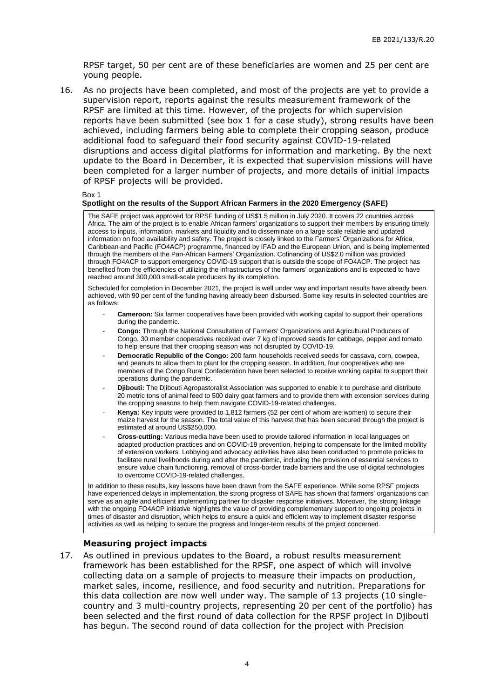RPSF target, 50 per cent are of these beneficiaries are women and 25 per cent are young people.

16. As no projects have been completed, and most of the projects are yet to provide a supervision report, reports against the results measurement framework of the RPSF are limited at this time. However, of the projects for which supervision reports have been submitted (see box 1 for a case study), strong results have been achieved, including farmers being able to complete their cropping season, produce additional food to safeguard their food security against COVID-19-related disruptions and access digital platforms for information and marketing. By the next update to the Board in December, it is expected that supervision missions will have been completed for a larger number of projects, and more details of initial impacts of RPSF projects will be provided.

#### Box 1

#### **Spotlight on the results of the Support African Farmers in the 2020 Emergency (SAFE)**

The SAFE project was approved for RPSF funding of US\$1.5 million in July 2020. It covers 22 countries across Africa. The aim of the project is to enable African farmers' organizations to support their members by ensuring timely access to inputs, information, markets and liquidity and to disseminate on a large scale reliable and updated information on food availability and safety. The project is closely linked to the Farmers' Organizations for Africa, Caribbean and Pacific (FO4ACP) programme, financed by IFAD and the European Union, and is being implemented through the members of the Pan-African Farmers' Organization. Cofinancing of US\$2.0 million was provided through FO4ACP to support emergency COVID-19 support that is outside the scope of FO4ACP. The project has benefited from the efficiencies of utilizing the infrastructures of the farmers' organizations and is expected to have reached around 300,000 small-scale producers by its completion.

Scheduled for completion in December 2021, the project is well under way and important results have already been achieved, with 90 per cent of the funding having already been disbursed. Some key results in selected countries are as follows:

- **Cameroon:** Six farmer cooperatives have been provided with working capital to support their operations during the pandemic.
- **Congo:** Through the National Consultation of Farmers' Organizations and Agricultural Producers of Congo, 30 member cooperatives received over 7 kg of improved seeds for cabbage, pepper and tomato to help ensure that their cropping season was not disrupted by COVID-19.
- **Democratic Republic of the Congo:** 200 farm households received seeds for cassava, corn, cowpea, and peanuts to allow them to plant for the cropping season. In addition, four cooperatives who are members of the Congo Rural Confederation have been selected to receive working capital to support their operations during the pandemic.
- **Djibouti:** The Djibouti Agropastoralist Association was supported to enable it to purchase and distribute 20 metric tons of animal feed to 500 dairy goat farmers and to provide them with extension services during the cropping seasons to help them navigate COVID-19-related challenges.
- Kenya: Key inputs were provided to 1,812 farmers (52 per cent of whom are women) to secure their maize harvest for the season. The total value of this harvest that has been secured through the project is estimated at around US\$250,000.
- **Cross-cutting:** Various media have been used to provide tailored information in local languages on adapted production practices and on COVID-19 prevention, helping to compensate for the limited mobility of extension workers. Lobbying and advocacy activities have also been conducted to promote policies to facilitate rural livelihoods during and after the pandemic, including the provision of essential services to ensure value chain functioning, removal of cross-border trade barriers and the use of digital technologies to overcome COVID-19-related challenges.

In addition to these results, key lessons have been drawn from the SAFE experience. While some RPSF projects have experienced delays in implementation, the strong progress of SAFE has shown that farmers' organizations can serve as an agile and efficient implementing partner for disaster response initiatives. Moreover, the strong linkage with the ongoing FO4ACP initiative highlights the value of providing complementary support to ongoing projects in times of disaster and disruption, which helps to ensure a quick and efficient way to implement disaster response activities as well as helping to secure the progress and longer-term results of the project concerned.

#### **Measuring project impacts**

17. As outlined in previous updates to the Board, a robust results measurement framework has been established for the RPSF, one aspect of which will involve collecting data on a sample of projects to measure their impacts on production, market sales, income, resilience, and food security and nutrition. Preparations for this data collection are now well under way. The sample of 13 projects (10 singlecountry and 3 multi-country projects, representing 20 per cent of the portfolio) has been selected and the first round of data collection for the RPSF project in Djibouti has begun. The second round of data collection for the project with Precision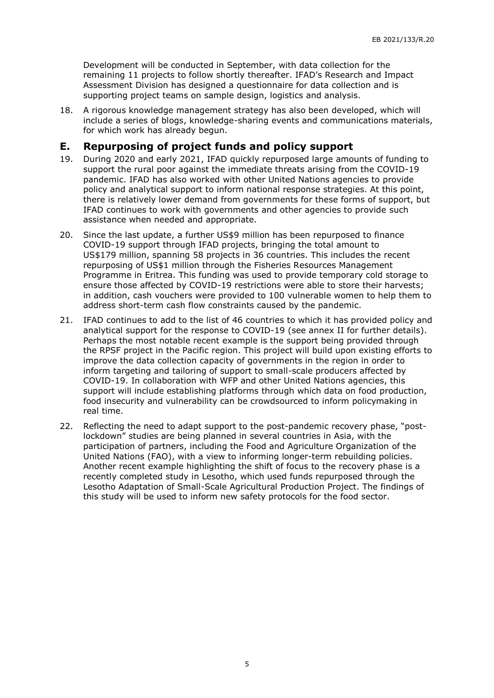Development will be conducted in September, with data collection for the remaining 11 projects to follow shortly thereafter. IFAD's Research and Impact Assessment Division has designed a questionnaire for data collection and is supporting project teams on sample design, logistics and analysis.

18. A rigorous knowledge management strategy has also been developed, which will include a series of blogs, knowledge-sharing events and communications materials, for which work has already begun.

## **E. Repurposing of project funds and policy support**

- 19. During 2020 and early 2021, IFAD quickly repurposed large amounts of funding to support the rural poor against the immediate threats arising from the COVID-19 pandemic. IFAD has also worked with other United Nations agencies to provide policy and analytical support to inform national response strategies. At this point, there is relatively lower demand from governments for these forms of support, but IFAD continues to work with governments and other agencies to provide such assistance when needed and appropriate.
- 20. Since the last update, a further US\$9 million has been repurposed to finance COVID-19 support through IFAD projects, bringing the total amount to US\$179 million, spanning 58 projects in 36 countries. This includes the recent repurposing of US\$1 million through the Fisheries Resources Management Programme in Eritrea. This funding was used to provide temporary cold storage to ensure those affected by COVID-19 restrictions were able to store their harvests; in addition, cash vouchers were provided to 100 vulnerable women to help them to address short-term cash flow constraints caused by the pandemic.
- 21. IFAD continues to add to the list of 46 countries to which it has provided policy and analytical support for the response to COVID-19 (see annex II for further details). Perhaps the most notable recent example is the support being provided through the RPSF project in the Pacific region. This project will build upon existing efforts to improve the data collection capacity of governments in the region in order to inform targeting and tailoring of support to small-scale producers affected by COVID-19. In collaboration with WFP and other United Nations agencies, this support will include establishing platforms through which data on food production, food insecurity and vulnerability can be crowdsourced to inform policymaking in real time.
- 22. Reflecting the need to adapt support to the post-pandemic recovery phase, "postlockdown" studies are being planned in several countries in Asia, with the participation of partners, including the Food and Agriculture Organization of the United Nations (FAO), with a view to informing longer-term rebuilding policies. Another recent example highlighting the shift of focus to the recovery phase is a recently completed study in Lesotho, which used funds repurposed through the Lesotho Adaptation of Small-Scale Agricultural Production Project. The findings of this study will be used to inform new safety protocols for the food sector.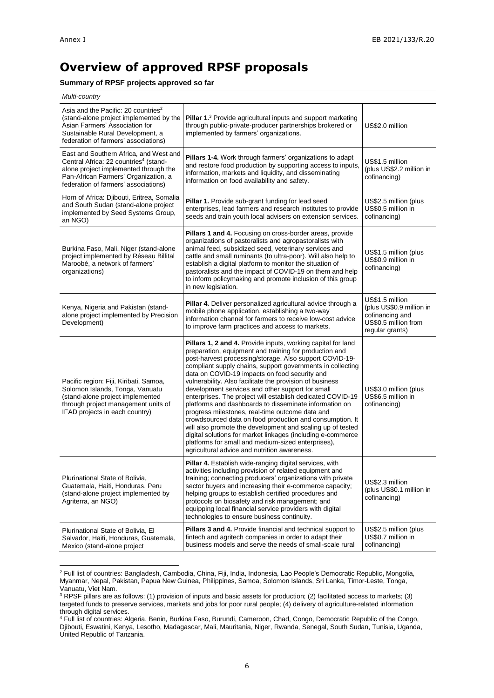-

## **Overview of approved RPSF proposals**

#### **Summary of RPSF projects approved so far**

| Multi-country                                                                                                                                                                                                        |                                                                                                                                                                                                                                                                                                                                                                                                                                                                                                                                                                                                                                                                                                                                                                                                                                                                                                   |                                                                                                           |
|----------------------------------------------------------------------------------------------------------------------------------------------------------------------------------------------------------------------|---------------------------------------------------------------------------------------------------------------------------------------------------------------------------------------------------------------------------------------------------------------------------------------------------------------------------------------------------------------------------------------------------------------------------------------------------------------------------------------------------------------------------------------------------------------------------------------------------------------------------------------------------------------------------------------------------------------------------------------------------------------------------------------------------------------------------------------------------------------------------------------------------|-----------------------------------------------------------------------------------------------------------|
| Asia and the Pacific: 20 countries <sup>2</sup><br>(stand-alone project implemented by the<br>Asian Farmers' Association for<br>Sustainable Rural Development, a<br>federation of farmers' associations)             | Pillar 1. <sup>3</sup> Provide agricultural inputs and support marketing<br>through public-private-producer partnerships brokered or<br>implemented by farmers' organizations.                                                                                                                                                                                                                                                                                                                                                                                                                                                                                                                                                                                                                                                                                                                    | US\$2.0 million                                                                                           |
| East and Southern Africa, and West and<br>Central Africa: 22 countries <sup>4</sup> (stand-<br>alone project implemented through the<br>Pan-African Farmers' Organization, a<br>federation of farmers' associations) | Pillars 1-4. Work through farmers' organizations to adapt<br>and restore food production by supporting access to inputs,<br>information, markets and liquidity, and disseminating<br>information on food availability and safety.                                                                                                                                                                                                                                                                                                                                                                                                                                                                                                                                                                                                                                                                 | US\$1.5 million<br>(plus US\$2.2 million in<br>cofinancing)                                               |
| Horn of Africa: Djibouti, Eritrea, Somalia<br>and South Sudan (stand-alone project<br>implemented by Seed Systems Group,<br>an NGO)                                                                                  | Pillar 1. Provide sub-grant funding for lead seed<br>enterprises, lead farmers and research institutes to provide<br>seeds and train youth local advisers on extension services.                                                                                                                                                                                                                                                                                                                                                                                                                                                                                                                                                                                                                                                                                                                  | US\$2.5 million (plus<br>US\$0.5 million in<br>cofinancing)                                               |
| Burkina Faso, Mali, Niger (stand-alone<br>project implemented by Réseau Billital<br>Maroobé, a network of farmers'<br>organizations)                                                                                 | Pillars 1 and 4. Focusing on cross-border areas, provide<br>organizations of pastoralists and agropastoralists with<br>animal feed, subsidized seed, veterinary services and<br>cattle and small ruminants (to ultra-poor). Will also help to<br>establish a digital platform to monitor the situation of<br>pastoralists and the impact of COVID-19 on them and help<br>to inform policymaking and promote inclusion of this group<br>in new legislation.                                                                                                                                                                                                                                                                                                                                                                                                                                        | US\$1.5 million (plus<br>US\$0.9 million in<br>cofinancing)                                               |
| Kenya, Nigeria and Pakistan (stand-<br>alone project implemented by Precision<br>Development)                                                                                                                        | Pillar 4. Deliver personalized agricultural advice through a<br>mobile phone application, establishing a two-way<br>information channel for farmers to receive low-cost advice<br>to improve farm practices and access to markets.                                                                                                                                                                                                                                                                                                                                                                                                                                                                                                                                                                                                                                                                | US\$1.5 million<br>(plus US\$0.9 million in<br>cofinancing and<br>US\$0.5 million from<br>regular grants) |
| Pacific region: Fiji, Kiribati, Samoa,<br>Solomon Islands, Tonga, Vanuatu<br>(stand-alone project implemented<br>through project management units of<br>IFAD projects in each country)                               | <b>Pillars 1, 2 and 4. Provide inputs, working capital for land</b><br>preparation, equipment and training for production and<br>post-harvest processing/storage. Also support COVID-19-<br>compliant supply chains, support governments in collecting<br>data on COVID-19 impacts on food security and<br>vulnerability. Also facilitate the provision of business<br>development services and other support for small<br>enterprises. The project will establish dedicated COVID-19<br>platforms and dashboards to disseminate information on<br>progress milestones, real-time outcome data and<br>crowdsourced data on food production and consumption. It<br>will also promote the development and scaling up of tested<br>digital solutions for market linkages (including e-commerce<br>platforms for small and medium-sized enterprises),<br>agricultural advice and nutrition awareness. | US\$3.0 million (plus<br>US\$6.5 million in<br>cofinancing)                                               |
| Plurinational State of Bolivia,<br>Guatemala, Haiti, Honduras, Peru<br>(stand-alone project implemented by<br>Agriterra, an NGO)                                                                                     | Pillar 4. Establish wide-ranging digital services, with<br>activities including provision of related equipment and<br>training; connecting producers' organizations with private<br>sector buyers and increasing their e-commerce capacity;<br>helping groups to establish certified procedures and<br>protocols on biosafety and risk management; and<br>equipping local financial service providers with digital<br>technologies to ensure business continuity.                                                                                                                                                                                                                                                                                                                                                                                                                                 | US\$2.3 million<br>(plus US\$0.1 million in<br>cofinancing)                                               |
| Plurinational State of Bolivia, El<br>Salvador, Haiti, Honduras, Guatemala,<br>Mexico (stand-alone project                                                                                                           | <b>Pillars 3 and 4.</b> Provide financial and technical support to<br>fintech and agritech companies in order to adapt their<br>business models and serve the needs of small-scale rural                                                                                                                                                                                                                                                                                                                                                                                                                                                                                                                                                                                                                                                                                                          | US\$2.5 million (plus<br>US\$0.7 million in<br>cofinancing)                                               |

<sup>2</sup> Full list of countries: Bangladesh, Cambodia, China, Fiji, India, Indonesia, Lao People's Democratic Republic**,** Mongolia, Myanmar, Nepal, Pakistan, Papua New Guinea, Philippines, Samoa, Solomon Islands, Sri Lanka, Timor-Leste, Tonga, Vanuatu, Viet Nam.

 $3$  RPSF pillars are as follows: (1) provision of inputs and basic assets for production; (2) facilitated access to markets; (3) targeted funds to preserve services, markets and jobs for poor rural people; (4) delivery of agriculture-related information through digital services.

<sup>4</sup> Full list of countries: Algeria, Benin, Burkina Faso, Burundi, Cameroon, Chad, Congo, Democratic Republic of the Congo, Djibouti, Eswatini, Kenya, Lesotho, Madagascar, Mali, Mauritania, Niger, Rwanda, Senegal, South Sudan, Tunisia, Uganda, United Republic of Tanzania.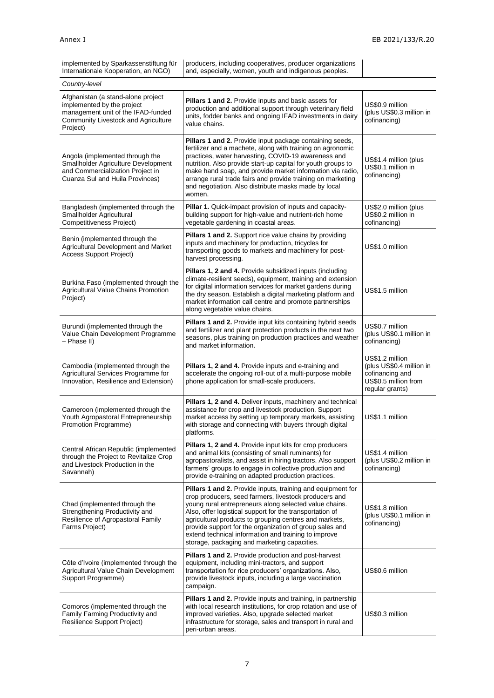| implemented by Sparkassenstiftung für<br>Internationale Kooperation, an NGO)                                                                              | producers, including cooperatives, producer organizations<br>and, especially, women, youth and indigenous peoples.                                                                                                                                                                                                                                                                                                                                                             |                                                                                                           |
|-----------------------------------------------------------------------------------------------------------------------------------------------------------|--------------------------------------------------------------------------------------------------------------------------------------------------------------------------------------------------------------------------------------------------------------------------------------------------------------------------------------------------------------------------------------------------------------------------------------------------------------------------------|-----------------------------------------------------------------------------------------------------------|
| Country-level                                                                                                                                             |                                                                                                                                                                                                                                                                                                                                                                                                                                                                                |                                                                                                           |
| Afghanistan (a stand-alone project<br>implemented by the project<br>management unit of the IFAD-funded<br>Community Livestock and Agriculture<br>Project) | Pillars 1 and 2. Provide inputs and basic assets for<br>production and additional support through veterinary field<br>units, fodder banks and ongoing IFAD investments in dairy<br>value chains.                                                                                                                                                                                                                                                                               | US\$0.9 million<br>(plus US\$0.3 million in<br>cofinancing)                                               |
| Angola (implemented through the<br>Smallholder Agriculture Development<br>and Commercialization Project in<br>Cuanza Sul and Huila Provinces)             | Pillars 1 and 2. Provide input package containing seeds,<br>fertilizer and a machete, along with training on agronomic<br>practices, water harvesting, COVID-19 awareness and<br>nutrition. Also provide start-up capital for youth groups to<br>make hand soap, and provide market information via radio,<br>arrange rural trade fairs and provide training on marketing<br>and negotiation. Also distribute masks made by local<br>women.                                    | US\$1.4 million (plus<br>US\$0.1 million in<br>cofinancing)                                               |
| Bangladesh (implemented through the<br>Smallholder Agricultural<br>Competitiveness Project)                                                               | <b>Pillar 1.</b> Quick-impact provision of inputs and capacity-<br>building support for high-value and nutrient-rich home<br>vegetable gardening in coastal areas.                                                                                                                                                                                                                                                                                                             | US\$2.0 million (plus<br>US\$0.2 million in<br>cofinancing)                                               |
| Benin (implemented through the<br>Agricultural Development and Market<br>Access Support Project)                                                          | <b>Pillars 1 and 2.</b> Support rice value chains by providing<br>inputs and machinery for production, tricycles for<br>transporting goods to markets and machinery for post-<br>harvest processing.                                                                                                                                                                                                                                                                           | US\$1.0 million                                                                                           |
| Burkina Faso (implemented through the<br>Agricultural Value Chains Promotion<br>Project)                                                                  | Pillars 1, 2 and 4. Provide subsidized inputs (including<br>climate-resilient seeds), equipment, training and extension<br>for digital information services for market gardens during<br>the dry season. Establish a digital marketing platform and<br>market information call centre and promote partnerships<br>along vegetable value chains.                                                                                                                                | US\$1.5 million                                                                                           |
| Burundi (implemented through the<br>Value Chain Development Programme<br>- Phase II)                                                                      | Pillars 1 and 2. Provide input kits containing hybrid seeds<br>and fertilizer and plant protection products in the next two<br>seasons, plus training on production practices and weather<br>and market information.                                                                                                                                                                                                                                                           | US\$0.7 million<br>(plus US\$0.1 million in<br>cofinancing)                                               |
| Cambodia (implemented through the<br>Agricultural Services Programme for<br>Innovation, Resilience and Extension)                                         | Pillars 1, 2 and 4. Provide inputs and e-training and<br>accelerate the ongoing roll-out of a multi-purpose mobile<br>phone application for small-scale producers.                                                                                                                                                                                                                                                                                                             | US\$1.2 million<br>(plus US\$0.4 million in<br>cofinancing and<br>US\$0.5 million from<br>regular grants) |
| Cameroon (implemented through the<br>Youth Agropastoral Entrepreneurship<br>Promotion Programme)                                                          | Pillars 1, 2 and 4. Deliver inputs, machinery and technical<br>assistance for crop and livestock production. Support<br>market access by setting up temporary markets, assisting<br>with storage and connecting with buyers through digital<br>platforms.                                                                                                                                                                                                                      | US\$1.1 million                                                                                           |
| Central African Republic (implemented<br>through the Project to Revitalize Crop<br>and Livestock Production in the<br>Savannah)                           | Pillars 1, 2 and 4. Provide input kits for crop producers<br>and animal kits (consisting of small ruminants) for<br>agropastoralists, and assist in hiring tractors. Also support<br>farmers' groups to engage in collective production and<br>provide e-training on adapted production practices.                                                                                                                                                                             | US\$1.4 million<br>(plus US\$0.2 million in<br>cofinancing)                                               |
| Chad (implemented through the<br>Strengthening Productivity and<br>Resilience of Agropastoral Family<br>Farms Project)                                    | <b>Pillars 1 and 2.</b> Provide inputs, training and equipment for<br>crop producers, seed farmers, livestock producers and<br>young rural entrepreneurs along selected value chains.<br>Also, offer logistical support for the transportation of<br>agricultural products to grouping centres and markets,<br>provide support for the organization of group sales and<br>extend technical information and training to improve<br>storage, packaging and marketing capacities. | US\$1.8 million<br>(plus US\$0.1 million in<br>cofinancing)                                               |
| Côte d'Ivoire (implemented through the<br>Agricultural Value Chain Development<br>Support Programme)                                                      | <b>Pillars 1 and 2. Provide production and post-harvest</b><br>equipment, including mini-tractors, and support<br>transportation for rice producers' organizations. Also,<br>provide livestock inputs, including a large vaccination<br>campaign.                                                                                                                                                                                                                              | US\$0.6 million                                                                                           |
| Comoros (implemented through the<br>Family Farming Productivity and<br><b>Resilience Support Project)</b>                                                 | Pillars 1 and 2. Provide inputs and training, in partnership<br>with local research institutions, for crop rotation and use of<br>improved varieties. Also, upgrade selected market<br>infrastructure for storage, sales and transport in rural and<br>peri-urban areas.                                                                                                                                                                                                       | US\$0.3 million                                                                                           |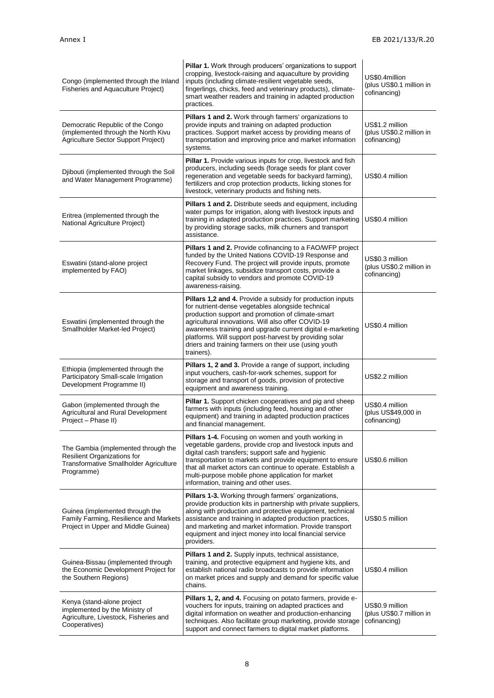| Congo (implemented through the Inland<br>Fisheries and Aquaculture Project)                                                       | Pillar 1. Work through producers' organizations to support<br>cropping, livestock-raising and aquaculture by providing<br>inputs (including climate-resilient vegetable seeds,<br>fingerlings, chicks, feed and veterinary products), climate-<br>smart weather readers and training in adapted production<br>practices.                                                                                                   | US\$0.4million<br>(plus US\$0.1 million in<br>cofinancing)  |
|-----------------------------------------------------------------------------------------------------------------------------------|----------------------------------------------------------------------------------------------------------------------------------------------------------------------------------------------------------------------------------------------------------------------------------------------------------------------------------------------------------------------------------------------------------------------------|-------------------------------------------------------------|
| Democratic Republic of the Congo<br>(implemented through the North Kivu<br>Agriculture Sector Support Project)                    | Pillars 1 and 2. Work through farmers' organizations to<br>provide inputs and training on adapted production<br>practices. Support market access by providing means of<br>transportation and improving price and market information<br>systems.                                                                                                                                                                            | US\$1.2 million<br>(plus US\$0.2 million in<br>cofinancing) |
| Djibouti (implemented through the Soil<br>and Water Management Programme)                                                         | Pillar 1. Provide various inputs for crop, livestock and fish<br>producers, including seeds (forage seeds for plant cover<br>regeneration and vegetable seeds for backyard farming),<br>fertilizers and crop protection products, licking stones for<br>livestock, veterinary products and fishing nets.                                                                                                                   | US\$0.4 million                                             |
| Eritrea (implemented through the<br>National Agriculture Project)                                                                 | Pillars 1 and 2. Distribute seeds and equipment, including<br>water pumps for irrigation, along with livestock inputs and<br>training in adapted production practices. Support marketing<br>by providing storage sacks, milk churners and transport<br>assistance.                                                                                                                                                         | US\$0.4 million                                             |
| Eswatini (stand-alone project<br>implemented by FAO)                                                                              | Pillars 1 and 2. Provide cofinancing to a FAO/WFP project<br>funded by the United Nations COVID-19 Response and<br>Recovery Fund. The project will provide inputs, promote<br>market linkages, subsidize transport costs, provide a<br>capital subsidy to vendors and promote COVID-19<br>awareness-raising.                                                                                                               | US\$0.3 million<br>(plus US\$0.2 million in<br>cofinancing) |
| Eswatini (implemented through the<br>Smallholder Market-led Project)                                                              | Pillars 1,2 and 4. Provide a subsidy for production inputs<br>for nutrient-dense vegetables alongside technical<br>production support and promotion of climate-smart<br>agricultural innovations. Will also offer COVID-19<br>awareness training and upgrade current digital e-marketing<br>platforms. Will support post-harvest by providing solar<br>driers and training farmers on their use (using youth<br>trainers). | US\$0.4 million                                             |
| Ethiopia (implemented through the<br>Participatory Small-scale Irrigation<br>Development Programme II)                            | Pillars 1, 2 and 3. Provide a range of support, including<br>input vouchers, cash-for-work schemes, support for<br>storage and transport of goods, provision of protective<br>equipment and awareness training.                                                                                                                                                                                                            | US\$2.2 million                                             |
| Gabon (implemented through the<br>Agricultural and Rural Development<br>Project - Phase II)                                       | Pillar 1. Support chicken cooperatives and pig and sheep<br>farmers with inputs (including feed, housing and other<br>equipment) and training in adapted production practices<br>and financial management.                                                                                                                                                                                                                 | US\$0.4 million<br>(plus US\$49,000 in<br>cofinancing)      |
| The Gambia (implemented through the<br>Resilient Organizations for<br><b>Transformative Smallholder Agriculture</b><br>Programme) | Pillars 1-4. Focusing on women and youth working in<br>vegetable gardens, provide crop and livestock inputs and<br>digital cash transfers; support safe and hygienic<br>transportation to markets and provide equipment to ensure<br>that all market actors can continue to operate. Establish a<br>multi-purpose mobile phone application for market<br>information, training and other uses.                             | US\$0.6 million                                             |
| Guinea (implemented through the<br>Family Farming, Resilience and Markets<br>Project in Upper and Middle Guinea)                  | Pillars 1-3. Working through farmers' organizations,<br>provide production kits in partnership with private suppliers,<br>along with production and protective equipment, technical<br>assistance and training in adapted production practices,<br>and marketing and market information. Provide transport<br>equipment and inject money into local financial service<br>providers.                                        | US\$0.5 million                                             |
| Guinea-Bissau (implemented through<br>the Economic Development Project for<br>the Southern Regions)                               | Pillars 1 and 2. Supply inputs, technical assistance,<br>training, and protective equipment and hygiene kits, and<br>establish national radio broadcasts to provide information<br>on market prices and supply and demand for specific value<br>chains.                                                                                                                                                                    | US\$0.4 million                                             |
| Kenya (stand-alone project<br>implemented by the Ministry of<br>Agriculture, Livestock, Fisheries and<br>Cooperatives)            | Pillars 1, 2, and 4. Focusing on potato farmers, provide e-<br>vouchers for inputs, training on adapted practices and<br>digital information on weather and production-enhancing<br>techniques. Also facilitate group marketing, provide storage<br>support and connect farmers to digital market platforms.                                                                                                               | US\$0.9 million<br>(plus US\$0.7 million in<br>cofinancing) |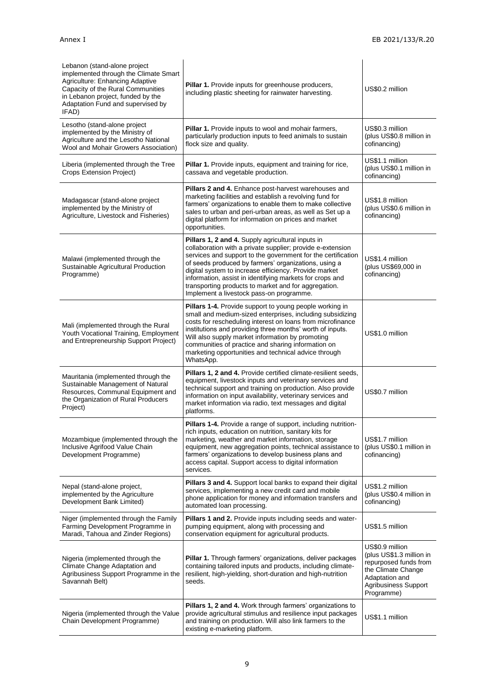| Lebanon (stand-alone project<br>implemented through the Climate Smart<br>Agriculture: Enhancing Adaptive<br>Capacity of the Rural Communities<br>in Lebanon project, funded by the<br>Adaptation Fund and supervised by<br>IFAD) | Pillar 1. Provide inputs for greenhouse producers,<br>including plastic sheeting for rainwater harvesting.                                                                                                                                                                                                                                                                                                                                                       | US\$0.2 million                                                                                                                                    |
|----------------------------------------------------------------------------------------------------------------------------------------------------------------------------------------------------------------------------------|------------------------------------------------------------------------------------------------------------------------------------------------------------------------------------------------------------------------------------------------------------------------------------------------------------------------------------------------------------------------------------------------------------------------------------------------------------------|----------------------------------------------------------------------------------------------------------------------------------------------------|
| Lesotho (stand-alone project<br>implemented by the Ministry of<br>Agriculture and the Lesotho National<br>Wool and Mohair Growers Association)                                                                                   | Pillar 1. Provide inputs to wool and mohair farmers,<br>particularly production inputs to feed animals to sustain<br>flock size and quality.                                                                                                                                                                                                                                                                                                                     | US\$0.3 million<br>(plus US\$0.8 million in<br>cofinancing)                                                                                        |
| Liberia (implemented through the Tree<br>Crops Extension Project)                                                                                                                                                                | Pillar 1. Provide inputs, equipment and training for rice,<br>cassava and vegetable production.                                                                                                                                                                                                                                                                                                                                                                  | US\$1.1 million<br>(plus US\$0.1 million in<br>cofinancing)                                                                                        |
| Madagascar (stand-alone project<br>implemented by the Ministry of<br>Agriculture, Livestock and Fisheries)                                                                                                                       | Pillars 2 and 4. Enhance post-harvest warehouses and<br>marketing facilities and establish a revolving fund for<br>farmers' organizations to enable them to make collective<br>sales to urban and peri-urban areas, as well as Set up a<br>digital platform for information on prices and market<br>opportunities.                                                                                                                                               | US\$1.8 million<br>(plus US\$0.6 million in<br>cofinancing)                                                                                        |
| Malawi (implemented through the<br>Sustainable Agricultural Production<br>Programme)                                                                                                                                             | Pillars 1, 2 and 4. Supply agricultural inputs in<br>collaboration with a private supplier; provide e-extension<br>services and support to the government for the certification<br>of seeds produced by farmers' organizations, using a<br>digital system to increase efficiency. Provide market<br>information, assist in identifying markets for crops and<br>transporting products to market and for aggregation.<br>Implement a livestock pass-on programme. | US\$1.4 million<br>(plus US\$69,000 in<br>cofinancing)                                                                                             |
| Mali (implemented through the Rural<br>Youth Vocational Training, Employment<br>and Entrepreneurship Support Project)                                                                                                            | Pillars 1-4. Provide support to young people working in<br>small and medium-sized enterprises, including subsidizing<br>costs for rescheduling interest on loans from microfinance<br>institutions and providing three months' worth of inputs.<br>Will also supply market information by promoting<br>communities of practice and sharing information on<br>marketing opportunities and technical advice through<br>WhatsApp.                                   | US\$1.0 million                                                                                                                                    |
| Mauritania (implemented through the<br>Sustainable Management of Natural<br>Resources, Communal Equipment and<br>the Organization of Rural Producers<br>Project)                                                                 | Pillars 1, 2 and 4. Provide certified climate-resilient seeds,<br>equipment, livestock inputs and veterinary services and<br>technical support and training on production. Also provide<br>information on input availability, veterinary services and<br>market information via radio, text messages and digital<br>platforms.                                                                                                                                   | US\$0.7 million                                                                                                                                    |
| Mozambique (implemented through the<br>Inclusive Agrifood Value Chain<br>Development Programme)                                                                                                                                  | Pillars 1-4. Provide a range of support, including nutrition-<br>rich inputs, education on nutrition, sanitary kits for<br>marketing, weather and market information, storage<br>equipment, new aggregation points, technical assistance to<br>farmers' organizations to develop business plans and<br>access capital. Support access to digital information<br>services.                                                                                        | US\$1.7 million<br>(plus US\$0.1 million in<br>cofinancing)                                                                                        |
| Nepal (stand-alone project,<br>implemented by the Agriculture<br>Development Bank Limited)                                                                                                                                       | <b>Pillars 3 and 4.</b> Support local banks to expand their digital<br>services, implementing a new credit card and mobile<br>phone application for money and information transfers and<br>automated loan processing.                                                                                                                                                                                                                                            | US\$1.2 million<br>(plus US\$0.4 million in<br>cofinancing)                                                                                        |
| Niger (implemented through the Family<br>Farming Development Programme in<br>Maradi, Tahoua and Zinder Regions)                                                                                                                  | Pillars 1 and 2. Provide inputs including seeds and water-<br>pumping equipment, along with processing and<br>conservation equipment for agricultural products.                                                                                                                                                                                                                                                                                                  | US\$1.5 million                                                                                                                                    |
| Nigeria (implemented through the<br>Climate Change Adaptation and<br>Agribusiness Support Programme in the<br>Savannah Belt)                                                                                                     | Pillar 1. Through farmers' organizations, deliver packages<br>containing tailored inputs and products, including climate-<br>resilient, high-yielding, short-duration and high-nutrition<br>seeds.                                                                                                                                                                                                                                                               | US\$0.9 million<br>(plus US\$1.3 million in<br>repurposed funds from<br>the Climate Change<br>Adaptation and<br>Agribusiness Support<br>Programme) |
| Nigeria (implemented through the Value<br>Chain Development Programme)                                                                                                                                                           | Pillars 1, 2 and 4. Work through farmers' organizations to<br>provide agricultural stimulus and resilience input packages<br>and training on production. Will also link farmers to the<br>existing e-marketing platform.                                                                                                                                                                                                                                         | US\$1.1 million                                                                                                                                    |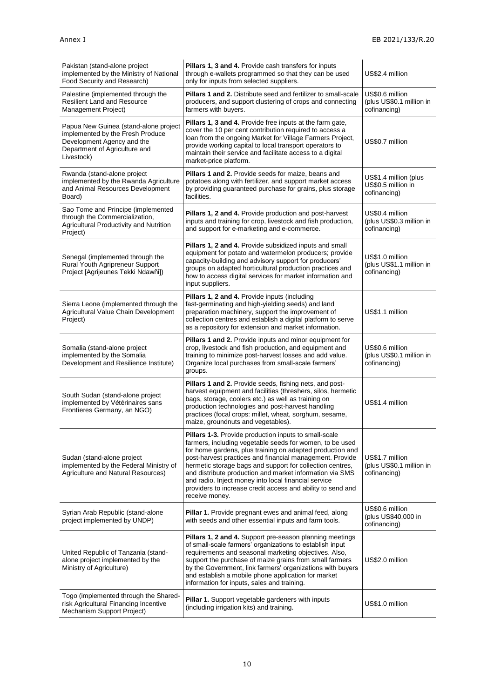| Pakistan (stand-alone project<br>implemented by the Ministry of National<br>Food Security and Research)                                                | Pillars 1, 3 and 4. Provide cash transfers for inputs<br>through e-wallets programmed so that they can be used<br>only for inputs from selected suppliers.                                                                                                                                                                                                                                                                                                                                                   | US\$2.4 million                                             |
|--------------------------------------------------------------------------------------------------------------------------------------------------------|--------------------------------------------------------------------------------------------------------------------------------------------------------------------------------------------------------------------------------------------------------------------------------------------------------------------------------------------------------------------------------------------------------------------------------------------------------------------------------------------------------------|-------------------------------------------------------------|
| Palestine (implemented through the<br><b>Resilient Land and Resource</b><br>Management Project)                                                        | <b>Pillars 1 and 2.</b> Distribute seed and fertilizer to small-scale<br>producers, and support clustering of crops and connecting<br>farmers with buyers.                                                                                                                                                                                                                                                                                                                                                   | US\$0.6 million<br>(plus US\$0.1 million in<br>cofinancing) |
| Papua New Guinea (stand-alone project<br>implemented by the Fresh Produce<br>Development Agency and the<br>Department of Agriculture and<br>Livestock) | Pillars 1, 3 and 4. Provide free inputs at the farm gate,<br>cover the 10 per cent contribution required to access a<br>loan from the ongoing Market for Village Farmers Project,<br>provide working capital to local transport operators to<br>maintain their service and facilitate access to a digital<br>market-price platform.                                                                                                                                                                          | US\$0.7 million                                             |
| Rwanda (stand-alone project<br>implemented by the Rwanda Agriculture<br>and Animal Resources Development<br>Board)                                     | Pillars 1 and 2. Provide seeds for maize, beans and<br>potatoes along with fertilizer, and support market access<br>by providing guaranteed purchase for grains, plus storage<br>facilities.                                                                                                                                                                                                                                                                                                                 | US\$1.4 million (plus<br>US\$0.5 million in<br>cofinancing) |
| Sao Tome and Principe (implemented<br>through the Commercialization,<br>Agricultural Productivity and Nutrition<br>Project)                            | Pillars 1, 2 and 4. Provide production and post-harvest<br>inputs and training for crop, livestock and fish production,<br>and support for e-marketing and e-commerce.                                                                                                                                                                                                                                                                                                                                       | US\$0.4 million<br>(plus US\$0.3 million in<br>cofinancing) |
| Senegal (implemented through the<br>Rural Youth Agripreneur Support<br>Project [Agrijeunes Tekki Ndawñi])                                              | Pillars 1, 2 and 4. Provide subsidized inputs and small<br>equipment for potato and watermelon producers; provide<br>capacity-building and advisory support for producers'<br>groups on adapted horticultural production practices and<br>how to access digital services for market information and<br>input suppliers.                                                                                                                                                                                      | US\$1.0 million<br>(plus US\$1.1 million in<br>cofinancing) |
| Sierra Leone (implemented through the<br>Agricultural Value Chain Development<br>Project)                                                              | Pillars 1, 2 and 4. Provide inputs (including<br>fast-germinating and high-yielding seeds) and land<br>preparation machinery, support the improvement of<br>collection centres and establish a digital platform to serve<br>as a repository for extension and market information.                                                                                                                                                                                                                            | US\$1.1 million                                             |
| Somalia (stand-alone project<br>implemented by the Somalia<br>Development and Resilience Institute)                                                    | <b>Pillars 1 and 2.</b> Provide inputs and minor equipment for<br>crop, livestock and fish production, and equipment and<br>training to minimize post-harvest losses and add value.<br>Organize local purchases from small-scale farmers'<br>groups.                                                                                                                                                                                                                                                         | US\$0.6 million<br>(plus US\$0.1 million in<br>cofinancing) |
| South Sudan (stand-alone project<br>implemented by Vétérinaires sans<br>Frontieres Germany, an NGO)                                                    | Pillars 1 and 2. Provide seeds, fishing nets, and post-<br>harvest equipment and facilities (threshers, silos, hermetic<br>bags, storage, coolers etc.) as well as training on<br>production technologies and post-harvest handling<br>practices (focal crops: millet, wheat, sorghum, sesame,<br>maize, groundnuts and vegetables).                                                                                                                                                                         | US\$1.4 million                                             |
| Sudan (stand-alone project<br>implemented by the Federal Ministry of<br>Agriculture and Natural Resources)                                             | Pillars 1-3. Provide production inputs to small-scale<br>farmers, including vegetable seeds for women, to be used<br>for home gardens, plus training on adapted production and<br>post-harvest practices and financial management. Provide<br>hermetic storage bags and support for collection centres,<br>and distribute production and market information via SMS<br>and radio. Inject money into local financial service<br>providers to increase credit access and ability to send and<br>receive money. | US\$1.7 million<br>(plus US\$0.1 million in<br>cofinancing) |
| Syrian Arab Republic (stand-alone<br>project implemented by UNDP)                                                                                      | <b>Pillar 1.</b> Provide pregnant ewes and animal feed, along<br>with seeds and other essential inputs and farm tools.                                                                                                                                                                                                                                                                                                                                                                                       | US\$0.6 million<br>(plus US\$40,000 in<br>cofinancing)      |
| United Republic of Tanzania (stand-<br>alone project implemented by the<br>Ministry of Agriculture)                                                    | Pillars 1, 2 and 4. Support pre-season planning meetings<br>of small-scale farmers' organizations to establish input<br>requirements and seasonal marketing objectives. Also,<br>support the purchase of maize grains from small farmers<br>by the Government, link farmers' organizations with buyers<br>and establish a mobile phone application for market<br>information for inputs, sales and training.                                                                                                 | US\$2.0 million                                             |
| Togo (implemented through the Shared-<br>risk Agricultural Financing Incentive<br>Mechanism Support Project)                                           | Pillar 1. Support vegetable gardeners with inputs<br>(including irrigation kits) and training.                                                                                                                                                                                                                                                                                                                                                                                                               | US\$1.0 million                                             |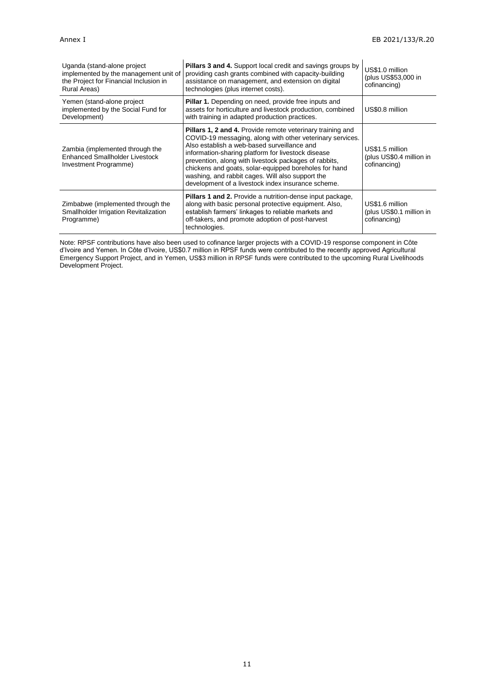| Uganda (stand-alone project<br>implemented by the management unit of<br>the Project for Financial Inclusion in<br>Rural Areas) | <b>Pillars 3 and 4.</b> Support local credit and savings groups by<br>providing cash grants combined with capacity-building<br>assistance on management, and extension on digital<br>technologies (plus internet costs).                                                                                                                                                                                                                                        | US\$1.0 million<br>(plus US\$53,000 in<br>cofinancing)      |
|--------------------------------------------------------------------------------------------------------------------------------|-----------------------------------------------------------------------------------------------------------------------------------------------------------------------------------------------------------------------------------------------------------------------------------------------------------------------------------------------------------------------------------------------------------------------------------------------------------------|-------------------------------------------------------------|
| Yemen (stand-alone project<br>implemented by the Social Fund for<br>Development)                                               | <b>Pillar 1.</b> Depending on need, provide free inputs and<br>assets for horticulture and livestock production, combined<br>with training in adapted production practices.                                                                                                                                                                                                                                                                                     | US\$0.8 million                                             |
| Zambia (implemented through the<br><b>Enhanced Smallholder Livestock</b><br>Investment Programme)                              | <b>Pillars 1, 2 and 4. Provide remote veterinary training and</b><br>COVID-19 messaging, along with other veterinary services.<br>Also establish a web-based surveillance and<br>information-sharing platform for livestock disease<br>prevention, along with livestock packages of rabbits,<br>chickens and goats, solar-equipped boreholes for hand<br>washing, and rabbit cages. Will also support the<br>development of a livestock index insurance scheme. | US\$1.5 million<br>(plus US\$0.4 million in<br>cofinancing) |
| Zimbabwe (implemented through the<br>Smallholder Irrigation Revitalization<br>Programme)                                       | <b>Pillars 1 and 2.</b> Provide a nutrition-dense input package,<br>along with basic personal protective equipment. Also,<br>establish farmers' linkages to reliable markets and<br>off-takers, and promote adoption of post-harvest<br>technologies.                                                                                                                                                                                                           | US\$1.6 million<br>(plus US\$0.1 million in<br>cofinancing) |

Note: RPSF contributions have also been used to cofinance larger projects with a COVID-19 response component in Côte d'Ivoire and Yemen. In Côte d'Ivoire, US\$0.7 million in RPSF funds were contributed to the recently approved Agricultural Emergency Support Project, and in Yemen, US\$3 million in RPSF funds were contributed to the upcoming Rural Livelihoods Development Project.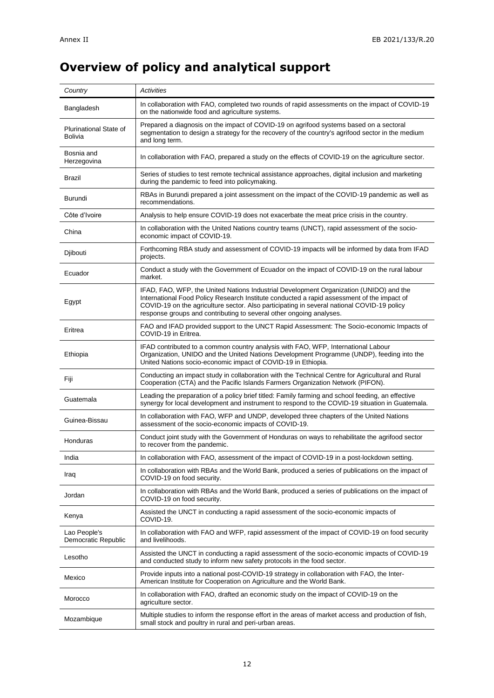# **Overview of policy and analytical support**

| Country                             | Activities                                                                                                                                                                                                                                                                                                                                                |
|-------------------------------------|-----------------------------------------------------------------------------------------------------------------------------------------------------------------------------------------------------------------------------------------------------------------------------------------------------------------------------------------------------------|
| Bangladesh                          | In collaboration with FAO, completed two rounds of rapid assessments on the impact of COVID-19<br>on the nationwide food and agriculture systems.                                                                                                                                                                                                         |
| Plurinational State of<br>Bolivia   | Prepared a diagnosis on the impact of COVID-19 on agrifood systems based on a sectoral<br>segmentation to design a strategy for the recovery of the country's agrifood sector in the medium<br>and long term.                                                                                                                                             |
| Bosnia and<br>Herzegovina           | In collaboration with FAO, prepared a study on the effects of COVID-19 on the agriculture sector.                                                                                                                                                                                                                                                         |
| Brazil                              | Series of studies to test remote technical assistance approaches, digital inclusion and marketing<br>during the pandemic to feed into policymaking.                                                                                                                                                                                                       |
| Burundi                             | RBAs in Burundi prepared a joint assessment on the impact of the COVID-19 pandemic as well as<br>recommendations.                                                                                                                                                                                                                                         |
| Côte d'Ivoire                       | Analysis to help ensure COVID-19 does not exacerbate the meat price crisis in the country.                                                                                                                                                                                                                                                                |
| China                               | In collaboration with the United Nations country teams (UNCT), rapid assessment of the socio-<br>economic impact of COVID-19.                                                                                                                                                                                                                             |
| Djibouti                            | Forthcoming RBA study and assessment of COVID-19 impacts will be informed by data from IFAD<br>projects.                                                                                                                                                                                                                                                  |
| Ecuador                             | Conduct a study with the Government of Ecuador on the impact of COVID-19 on the rural labour<br>market.                                                                                                                                                                                                                                                   |
| Egypt                               | IFAD, FAO, WFP, the United Nations Industrial Development Organization (UNIDO) and the<br>International Food Policy Research Institute conducted a rapid assessment of the impact of<br>COVID-19 on the agriculture sector. Also participating in several national COVID-19 policy<br>response groups and contributing to several other ongoing analyses. |
| Eritrea                             | FAO and IFAD provided support to the UNCT Rapid Assessment: The Socio-economic Impacts of<br>COVID-19 in Eritrea.                                                                                                                                                                                                                                         |
| Ethiopia                            | IFAD contributed to a common country analysis with FAO, WFP, International Labour<br>Organization, UNIDO and the United Nations Development Programme (UNDP), feeding into the<br>United Nations socio-economic impact of COVID-19 in Ethiopia.                                                                                                           |
| Fiji                                | Conducting an impact study in collaboration with the Technical Centre for Agricultural and Rural<br>Cooperation (CTA) and the Pacific Islands Farmers Organization Network (PIFON).                                                                                                                                                                       |
| Guatemala                           | Leading the preparation of a policy brief titled: Family farming and school feeding, an effective<br>synergy for local development and instrument to respond to the COVID-19 situation in Guatemala.                                                                                                                                                      |
| Guinea-Bissau                       | In collaboration with FAO, WFP and UNDP, developed three chapters of the United Nations<br>assessment of the socio-economic impacts of COVID-19.                                                                                                                                                                                                          |
| Honduras                            | Conduct joint study with the Government of Honduras on ways to rehabilitate the agrifood sector<br>to recover from the pandemic.                                                                                                                                                                                                                          |
| India                               | In collaboration with FAO, assessment of the impact of COVID-19 in a post-lockdown setting.                                                                                                                                                                                                                                                               |
| Iraq                                | In collaboration with RBAs and the World Bank, produced a series of publications on the impact of<br>COVID-19 on food security.                                                                                                                                                                                                                           |
| Jordan                              | In collaboration with RBAs and the World Bank, produced a series of publications on the impact of<br>COVID-19 on food security.                                                                                                                                                                                                                           |
| Kenya                               | Assisted the UNCT in conducting a rapid assessment of the socio-economic impacts of<br>COVID-19.                                                                                                                                                                                                                                                          |
| Lao People's<br>Democratic Republic | In collaboration with FAO and WFP, rapid assessment of the impact of COVID-19 on food security<br>and livelihoods.                                                                                                                                                                                                                                        |
| Lesotho                             | Assisted the UNCT in conducting a rapid assessment of the socio-economic impacts of COVID-19<br>and conducted study to inform new safety protocols in the food sector.                                                                                                                                                                                    |
| Mexico                              | Provide inputs into a national post-COVID-19 strategy in collaboration with FAO, the Inter-<br>American Institute for Cooperation on Agriculture and the World Bank.                                                                                                                                                                                      |
| Morocco                             | In collaboration with FAO, drafted an economic study on the impact of COVID-19 on the<br>agriculture sector.                                                                                                                                                                                                                                              |
| Mozambique                          | Multiple studies to inform the response effort in the areas of market access and production of fish,<br>small stock and poultry in rural and peri-urban areas.                                                                                                                                                                                            |